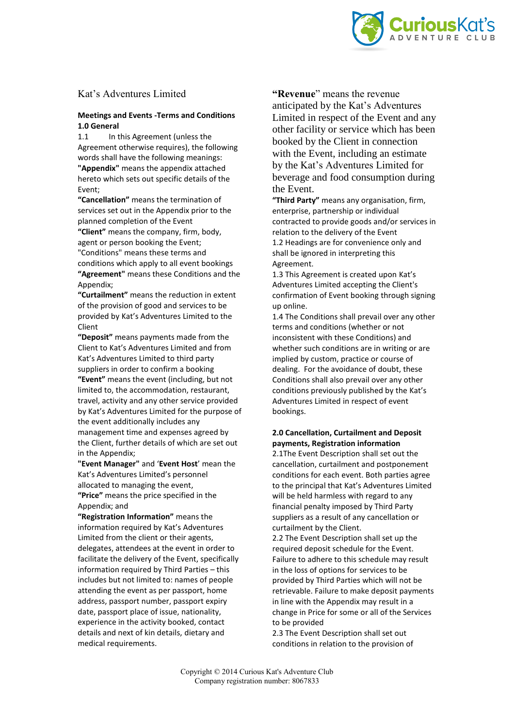

# Kat's Adventures Limited

# **Meetings and Events -Terms and Conditions 1.0 General**

In this Agreement (unless the Agreement otherwise requires), the following words shall have the following meanings: **"Appendix"** means the appendix attached hereto which sets out specific details of the Event;

**"Cancellation"** means the termination of services set out in the Appendix prior to the planned completion of the Event **"Client"** means the company, firm, body, agent or person booking the Event; "Conditions" means these terms and conditions which apply to all event bookings **"Agreement"** means these Conditions and the Appendix;

**"Curtailment"** means the reduction in extent of the provision of good and services to be provided by Kat's Adventures Limited to the Client

**"Deposit"** means payments made from the Client to Kat's Adventures Limited and from Kat's Adventures Limited to third party suppliers in order to confirm a booking **"Event"** means the event (including, but not limited to, the accommodation, restaurant, travel, activity and any other service provided by Kat's Adventures Limited for the purpose of the event additionally includes any management time and expenses agreed by the Client, further details of which are set out in the Appendix;

**"Event Manager"** and '**Event Host**' mean the Kat's Adventures Limited's personnel allocated to managing the event, **"Price"** means the price specified in the Appendix; and

**"Registration Information"** means the information required by Kat's Adventures Limited from the client or their agents, delegates, attendees at the event in order to facilitate the delivery of the Event, specifically information required by Third Parties – this includes but not limited to: names of people attending the event as per passport, home address, passport number, passport expiry date, passport place of issue, nationality, experience in the activity booked, contact details and next of kin details, dietary and medical requirements.

**"Revenue**" means the revenue anticipated by the Kat's Adventures Limited in respect of the Event and any other facility or service which has been booked by the Client in connection with the Event, including an estimate by the Kat's Adventures Limited for beverage and food consumption during the Event.

**"Third Party"** means any organisation, firm, enterprise, partnership or individual contracted to provide goods and/or services in relation to the delivery of the Event 1.2 Headings are for convenience only and shall be ignored in interpreting this Agreement.

1.3 This Agreement is created upon Kat's Adventures Limited accepting the Client's confirmation of Event booking through signing up online.

1.4 The Conditions shall prevail over any other terms and conditions (whether or not inconsistent with these Conditions) and whether such conditions are in writing or are implied by custom, practice or course of dealing. For the avoidance of doubt, these Conditions shall also prevail over any other conditions previously published by the Kat's Adventures Limited in respect of event bookings.

# **2.0 Cancellation, Curtailment and Deposit payments, Registration information**

2.1The Event Description shall set out the cancellation, curtailment and postponement conditions for each event. Both parties agree to the principal that Kat's Adventures Limited will be held harmless with regard to any financial penalty imposed by Third Party suppliers as a result of any cancellation or curtailment by the Client.

2.2 The Event Description shall set up the required deposit schedule for the Event. Failure to adhere to this schedule may result in the loss of options for services to be provided by Third Parties which will not be retrievable. Failure to make deposit payments in line with the Appendix may result in a change in Price for some or all of the Services to be provided

2.3 The Event Description shall set out conditions in relation to the provision of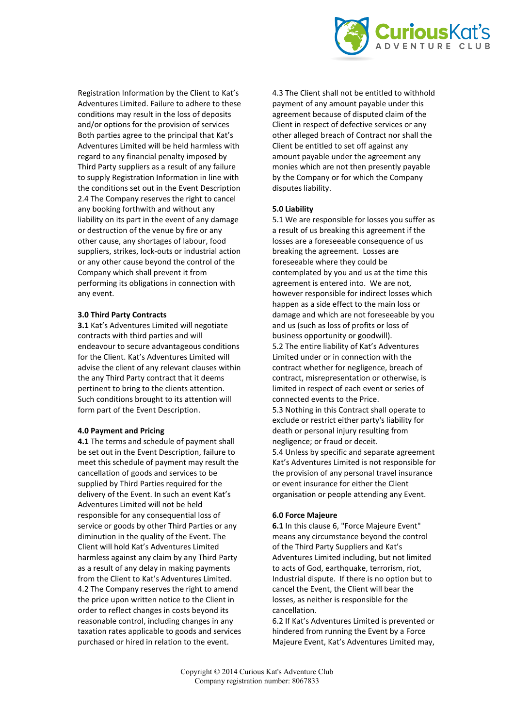

Registration Information by the Client to Kat's Adventures Limited. Failure to adhere to these conditions may result in the loss of deposits and/or options for the provision of services Both parties agree to the principal that Kat's Adventures Limited will be held harmless with regard to any financial penalty imposed by Third Party suppliers as a result of any failure to supply Registration Information in line with the conditions set out in the Event Description 2.4 The Company reserves the right to cancel any booking forthwith and without any liability on its part in the event of any damage or destruction of the venue by fire or any other cause, any shortages of labour, food suppliers, strikes, lock-outs or industrial action or any other cause beyond the control of the Company which shall prevent it from performing its obligations in connection with any event.

### **3.0 Third Party Contracts**

**3.1** Kat's Adventures Limited will negotiate contracts with third parties and will endeavour to secure advantageous conditions for the Client. Kat's Adventures Limited will advise the client of any relevant clauses within the any Third Party contract that it deems pertinent to bring to the clients attention. Such conditions brought to its attention will form part of the Event Description.

#### **4.0 Payment and Pricing**

**4.1** The terms and schedule of payment shall be set out in the Event Description, failure to meet this schedule of payment may result the cancellation of goods and services to be supplied by Third Parties required for the delivery of the Event. In such an event Kat's Adventures Limited will not be held responsible for any consequential loss of service or goods by other Third Parties or any diminution in the quality of the Event. The Client will hold Kat's Adventures Limited harmless against any claim by any Third Party as a result of any delay in making payments from the Client to Kat's Adventures Limited. 4.2 The Company reserves the right to amend the price upon written notice to the Client in order to reflect changes in costs beyond its reasonable control, including changes in any taxation rates applicable to goods and services purchased or hired in relation to the event.

4.3 The Client shall not be entitled to withhold payment of any amount payable under this agreement because of disputed claim of the Client in respect of defective services or any other alleged breach of Contract nor shall the Client be entitled to set off against any amount payable under the agreement any monies which are not then presently payable by the Company or for which the Company disputes liability.

#### **5.0 Liability**

5.1 We are responsible for losses you suffer as a result of us breaking this agreement if the losses are a foreseeable consequence of us breaking the agreement. Losses are foreseeable where they could be contemplated by you and us at the time this agreement is entered into. We are not, however responsible for indirect losses which happen as a side effect to the main loss or damage and which are not foreseeable by you and us (such as loss of profits or loss of business opportunity or goodwill). 5.2 The entire liability of Kat's Adventures

Limited under or in connection with the contract whether for negligence, breach of contract, misrepresentation or otherwise, is limited in respect of each event or series of connected events to the Price.

5.3 Nothing in this Contract shall operate to exclude or restrict either party's liability for death or personal injury resulting from negligence; or fraud or deceit.

5.4 Unless by specific and separate agreement Kat's Adventures Limited is not responsible for the provision of any personal travel insurance or event insurance for either the Client organisation or people attending any Event.

## **6.0 Force Majeure**

**6.1** In this clause 6, "Force Majeure Event" means any circumstance beyond the control of the Third Party Suppliers and Kat's Adventures Limited including, but not limited to acts of God, earthquake, terrorism, riot, Industrial dispute. If there is no option but to cancel the Event, the Client will bear the losses, as neither is responsible for the cancellation.

6.2 If Kat's Adventures Limited is prevented or hindered from running the Event by a Force Majeure Event, Kat's Adventures Limited may,